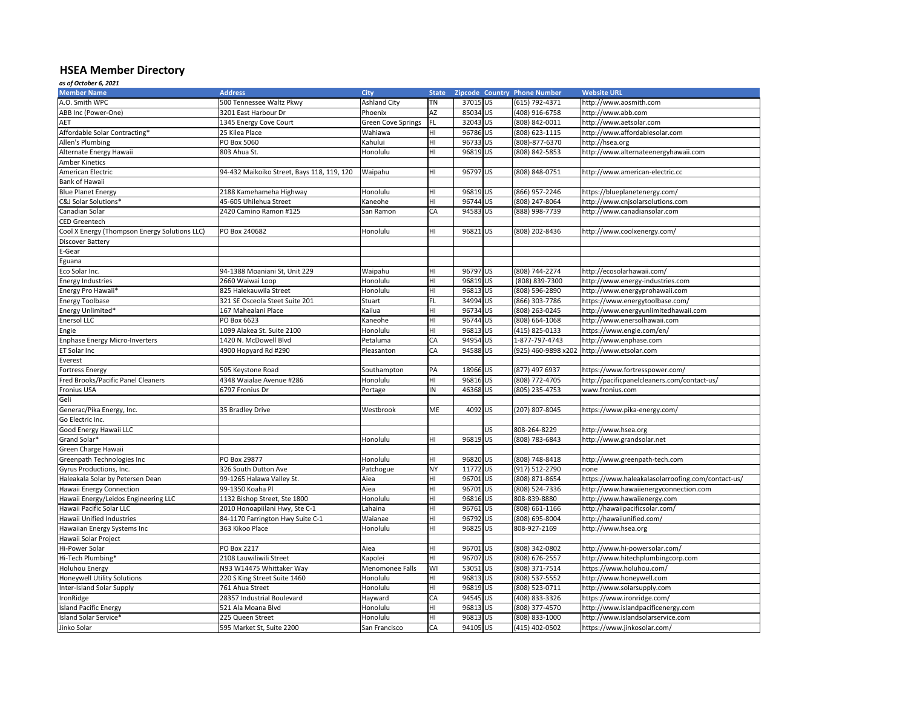## **HSEA Member Directory**

*as of October 6, 2021*

| <b>Member Name</b>                            | <b>Address</b>                             | <b>City</b>               | <b>State</b> | <b>Zipcode Country Phone Number</b> |                     | <b>Website URL</b>                                |
|-----------------------------------------------|--------------------------------------------|---------------------------|--------------|-------------------------------------|---------------------|---------------------------------------------------|
| A.O. Smith WPC                                | 500 Tennessee Waltz Pkwy                   | <b>Ashland City</b>       | <b>TN</b>    | 37015 US                            | (615) 792-4371      | http://www.aosmith.com                            |
| ABB Inc (Power-One)                           | 3201 East Harbour Dr                       | Phoenix                   | AZ           | 85034 US                            | (408) 916-6758      | http://www.abb.com                                |
| <b>AET</b>                                    | 1345 Energy Cove Court                     | <b>Green Cove Springs</b> | FL.          | 32043 US                            | (808) 842-0011      | http://www.aetsolar.com                           |
| Affordable Solar Contracting*                 | 25 Kilea Place                             | Wahiawa                   | HI           | 96786 US                            | (808) 623-1115      | http://www.affordablesolar.com                    |
| Allen's Plumbing                              | PO Box 5060                                | Kahului                   | HI           | 96733 US                            | (808)-877-6370      | http://hsea.org                                   |
| Alternate Energy Hawaii                       | 803 Ahua St.                               | Honolulu                  | HI           | 96819 US                            | (808) 842-5853      | http://www.alternateenergyhawaii.com              |
| <b>Amber Kinetics</b>                         |                                            |                           |              |                                     |                     |                                                   |
| American Electric                             | 94-432 Maikoiko Street, Bays 118, 119, 120 | Waipahu                   | HI           | 96797 US                            | (808) 848-0751      | http://www.american-electric.cc                   |
| Bank of Hawaii                                |                                            |                           |              |                                     |                     |                                                   |
| <b>Blue Planet Energy</b>                     | 2188 Kamehameha Highway                    | Honolulu                  | HI           | 96819 US                            | (866) 957-2246      | https://blueplanetenergy.com/                     |
| C&J Solar Solutions*                          | 45-605 Uhilehua Street                     | Kaneohe                   | HI           | 96744 US                            | (808) 247-8064      | http://www.cnjsolarsolutions.com                  |
| Canadian Solar                                | 2420 Camino Ramon #125                     | San Ramon                 | <b>CA</b>    | 94583 US                            | (888) 998-7739      | http://www.canadiansolar.com                      |
| <b>CED Greentech</b>                          |                                            |                           |              |                                     |                     |                                                   |
| Cool X Energy (Thompson Energy Solutions LLC) | PO Box 240682                              | Honolulu                  | HI           | 96821US                             | (808) 202-8436      | http://www.coolxenergy.com/                       |
| <b>Discover Battery</b>                       |                                            |                           |              |                                     |                     |                                                   |
| E-Gear                                        |                                            |                           |              |                                     |                     |                                                   |
| Eguana                                        |                                            |                           |              |                                     |                     |                                                   |
| Eco Solar Inc.                                | 94-1388 Moaniani St, Unit 229              | Waipahu                   | HI           | 96797 US                            | (808) 744-2274      | http://ecosolarhawaii.com/                        |
| <b>Energy Industries</b>                      | 2660 Waiwai Loop                           | Honolulu                  | HI           | 96819 US                            | (808) 839-7300      | http://www.energy-industries.com                  |
| Energy Pro Hawaii*                            | 825 Halekauwila Street                     | Honolulu                  | HI           | 96813 US                            | (808) 596-2890      | http://www.energyprohawaii.com                    |
| <b>Energy Toolbase</b>                        | 321 SE Osceola Steet Suite 201             | <b>Stuart</b>             | FL.          | 34994 US                            | (866) 303-7786      | https://www.energytoolbase.com/                   |
| Energy Unlimited*                             | 167 Mahealani Place                        | Kailua                    |              | 96734 US                            | (808) 263-0245      | http://www.energyunlimitedhawaii.com              |
| <b>Enersol LLC</b>                            | PO Box 6623                                | Kaneohe                   | HI           | 96744 US                            | (808) 664-1068      | http://www.enersolhawaii.com                      |
|                                               |                                            |                           | HI           | 96813 US                            |                     |                                                   |
| Engie                                         | 1099 Alakea St. Suite 2100                 | Honolulu                  | HI           |                                     | $(415)$ 825-0133    | https://www.engie.com/en/                         |
| <b>Enphase Energy Micro-Inverters</b>         | 1420 N. McDowell Blvd                      | Petaluma                  | CA           | 94954 US                            | 1-877-797-4743      | http://www.enphase.com                            |
| ET Solar Inc                                  | 4900 Hopyard Rd #290                       | Pleasanton                | <b>CA</b>    | 94588 US                            | (925) 460-9898 x202 | http://www.etsolar.com                            |
| Everest                                       |                                            |                           |              |                                     |                     |                                                   |
| <b>Fortress Energy</b>                        | 505 Keystone Road                          | Southampton               | PA           | 18966 US                            | (877) 497 6937      | https://www.fortresspower.com/                    |
| <b>Fred Brooks/Pacific Panel Cleaners</b>     | 4348 Waialae Avenue #286                   | Honolulu                  | HI           | 96816 US                            | (808) 772-4705      | http://pacificpanelcleaners.com/contact-us/       |
| <b>Fronius USA</b>                            | 6797 Fronius Dr                            | Portage                   | IN           | 46368 US                            | (805) 235-4753      | www.fronius.com                                   |
| Geli                                          |                                            |                           |              |                                     |                     |                                                   |
| Generac/Pika Energy, Inc.                     | 35 Bradley Drive                           | Westbrook                 | ME           | 4092 US                             | (207) 807-8045      | https://www.pika-energy.com/                      |
| Go Electric Inc.                              |                                            |                           |              |                                     |                     |                                                   |
| Good Energy Hawaii LLC                        |                                            |                           |              | <b>US</b>                           | 808-264-8229        | http://www.hsea.org                               |
| Grand Solar*                                  |                                            | Honolulu                  | HI           | 96819 US                            | (808) 783-6843      | http://www.grandsolar.net                         |
| Green Charge Hawaii                           |                                            |                           |              |                                     |                     |                                                   |
| Greenpath Technologies Inc                    | PO Box 29877                               | Honolulu                  | HI           | 96820 US                            | (808) 748-8418      | http://www.greenpath-tech.com                     |
| Gyrus Productions, Inc.                       | 326 South Dutton Ave                       | Patchogue                 | <b>NY</b>    | 11772 US                            | (917) 512-2790      | none                                              |
| Haleakala Solar by Petersen Dean              | 99-1265 Halawa Valley St.                  | Aiea                      | HI           | 96701 US                            | (808) 871-8654      | https://www.haleakalasolarroofing.com/contact-us/ |
| Hawaii Energy Connection                      | 99-1350 Koaha Pl                           | Aiea                      | HI           | 96701 US                            | (808) 524-7336      | http://www.hawaiienergyconnection.com             |
| Hawaii Energy/Leidos Engineering LLC          | 1132 Bishop Street, Ste 1800               | Honolulu                  | IHI.         | 96816 US                            | 808-839-8880        | http://www.hawaiienergy.com                       |
| Hawaii Pacific Solar LLC                      | 2010 Honoapiilani Hwy, Ste C-1             | Lahaina                   | HI           | 96761US                             | (808) 661-1166      | http://hawaiipacificsolar.com/                    |
| <b>Hawaii Unified Industries</b>              | 84-1170 Farrington Hwy Suite C-1           | Waianae                   | IHI.         | 96792 US                            | (808) 695-8004      | http://hawaiiunified.com/                         |
| Hawaiian Energy Systems Inc                   | 363 Kikoo Place                            | Honolulu                  | IHI.         | 96825 US                            | 808-927-2169        | http://www.hsea.org                               |
| Hawaii Solar Project                          |                                            |                           |              |                                     |                     |                                                   |
| Hi-Power Solar                                | PO Box 2217                                | Aiea                      | HI           | 96701 US                            | (808) 342-0802      | http://www.hi-powersolar.com/                     |
| Hi-Tech Plumbing*                             | 2108 Lauwiliwili Street                    | Kapolei                   | HI           | 96707 US                            | (808) 676-2557      | http://www.hitechplumbingcorp.com                 |
| Holuhou Energy                                | N93 W14475 Whittaker Way                   | Menomonee Falls           | <b>WI</b>    | 53051 US                            | (808) 371-7514      | https://www.holuhou.com/                          |
| Honeywell Utility Solutions                   | 220 S King Street Suite 1460               | Honolulu                  | HI           | 96813 US                            | (808) 537-5552      | http://www.honeywell.com                          |
| Inter-Island Solar Supply                     | 761 Ahua Street                            | Honolulu                  | IHI.         | 96819 US                            | (808) 523-0711      | http://www.solarsupply.com                        |
| IronRidge                                     | 28357 Industrial Boulevard                 | Hayward                   | CA           | 94545 US                            | (408) 833-3326      | https://www.ironridge.com/                        |
| <b>Island Pacific Energy</b>                  | 521 Ala Moana Blvd                         | Honolulu                  | HI           | 96813 US                            | (808) 377-4570      | http://www.islandpacificenergy.com                |
| Island Solar Service*                         | 225 Queen Street                           | Honolulu                  | HI           | 96813 US                            | (808) 833-1000      | http://www.islandsolarservice.com                 |
| Jinko Solar                                   | 595 Market St, Suite 2200                  | San Francisco             | CA           | 94105 US                            | (415) 402-0502      | https://www.jinkosolar.com/                       |